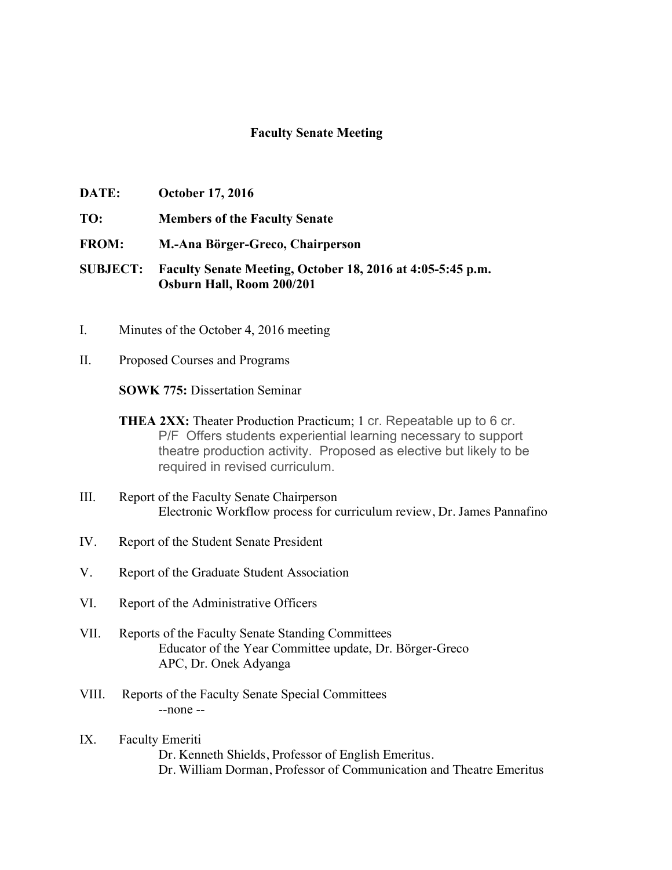## **Faculty Senate Meeting**

- **DATE: October 17, 2016**
- **TO: Members of the Faculty Senate**
- **FROM: M.-Ana Börger-Greco, Chairperson**
- **SUBJECT: Faculty Senate Meeting, October 18, 2016 at 4:05-5:45 p.m. Osburn Hall, Room 200/201**
- I. Minutes of the October 4, 2016 meeting
- II. Proposed Courses and Programs

**SOWK 775:** Dissertation Seminar

- **THEA 2XX:** Theater Production Practicum; 1 cr. Repeatable up to 6 cr. P/F Offers students experiential learning necessary to support theatre production activity. Proposed as elective but likely to be required in revised curriculum.
- III. Report of the Faculty Senate Chairperson Electronic Workflow process for curriculum review, Dr. James Pannafino
- IV. Report of the Student Senate President
- V. Report of the Graduate Student Association
- VI. Report of the Administrative Officers
- VII. Reports of the Faculty Senate Standing Committees Educator of the Year Committee update, Dr. Börger-Greco APC, Dr. Onek Adyanga
- VIII. Reports of the Faculty Senate Special Committees --none --
- IX. Faculty Emeriti Dr. Kenneth Shields, Professor of English Emeritus. Dr. William Dorman, Professor of Communication and Theatre Emeritus